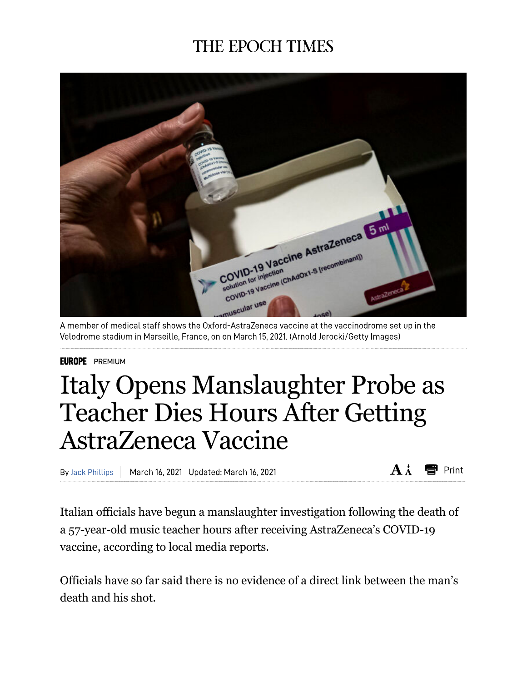## **THE EPOCH TIMES**



A member of medical staff shows the Oxford-AstraZeneca vaccine at the vaccinodrome set up in the Velodrome stadium in Marseille, France, on on March 15, 2021. (Arnold Jerocki/Getty Images)

## **EUROPE** PREMIUM

## Italy Opens Manslaughter Probe as Teacher Dies Hours After Getting AstraZeneca Vaccine

By Jack Phillips March 16, 2021 Updated: March 16, 2021  $\mathbf{A}$   $\mathbf{A}$ esent Print

Italian officials have begun a manslaughter investigation following the death of a 57-year-old music teacher hours after receiving AstraZeneca's COVID-19 vaccine, according to local media reports.

Officials have so far said there is no evidence of a direct link between the man's death and his shot.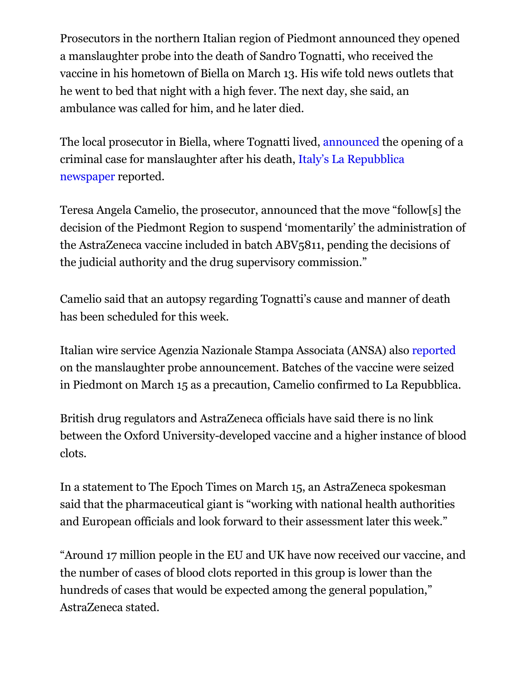Prosecutors in the northern Italian region of Piedmont announced they opened a manslaughter probe into the death of Sandro Tognatti, who received the vaccine in his hometown of Biella on March 13. His wife told news outlets that he went to bed that night with a high fever. The next day, she said, an ambulance was called for him, and he later died.

The local prosecutor in Biella, where Tognatti lived, announced the opening of a criminal case for manslaughter after his death, Italy's La Repubblica newspaper reported.

Teresa Angela Camelio, the prosecutor, announced that the move "follow[s] the decision of the Piedmont Region to suspend 'momentarily' the administration of the AstraZeneca vaccine included in batch ABV5811, pending the decisions of the judicial authority and the drug supervisory commission."

Camelio said that an autopsy regarding Tognatti's cause and manner of death has been scheduled for this week.

Italian wire service Agenzia Nazionale Stampa Associata (ANSA) also reported on the manslaughter probe announcement. Batches of the vaccine were seized in Piedmont on March 15 as a precaution, Camelio confirmed to La Repubblica.

British drug regulators and AstraZeneca officials have said there is no link between the Oxford University-developed vaccine and a higher instance of blood clots.

In a statement to The Epoch Times on March 15, an AstraZeneca spokesman said that the pharmaceutical giant is "working with national health authorities and European officials and look forward to their assessment later this week."

"Around 17 million people in the EU and UK have now received our vaccine, and the number of cases of blood clots reported in this group is lower than the hundreds of cases that would be expected among the general population," AstraZeneca stated.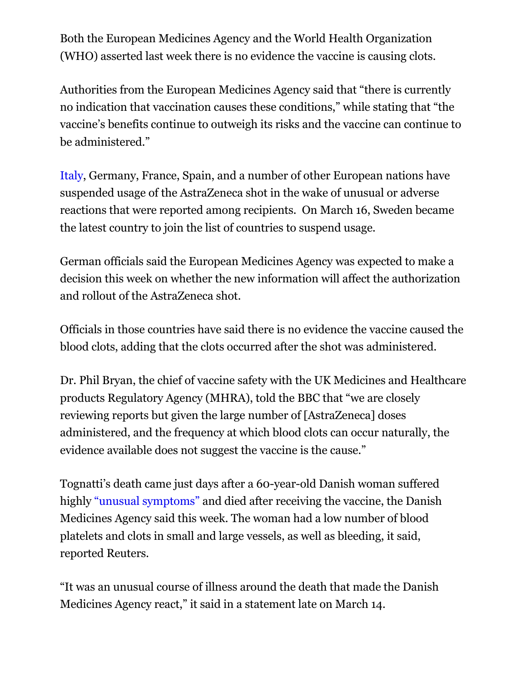Both the European Medicines Agency and the World Health Organization (WHO) asserted last week there is no evidence the vaccine is causing clots.

Authorities from the European Medicines Agency said that "there is currently no indication that vaccination causes these conditions," while stating that "the vaccine's benefits continue to outweigh its risks and the vaccine can continue to be administered."

Italy, Germany, France, Spain, and a number of other European nations have suspended usage of the AstraZeneca shot in the wake of unusual or adverse reactions that were reported among recipients. On March 16, Sweden became the latest country to join the list of countries to suspend usage.

German officials said the European Medicines Agency was expected to make a decision this week on whether the new information will affect the authorization and rollout of the AstraZeneca shot.

Officials in those countries have said there is no evidence the vaccine caused the blood clots, adding that the clots occurred after the shot was administered.

Dr. Phil Bryan, the chief of vaccine safety with the UK Medicines and Healthcare products Regulatory Agency (MHRA), told the BBC that "we are closely reviewing reports but given the large number of [AstraZeneca] doses administered, and the frequency at which blood clots can occur naturally, the evidence available does not suggest the vaccine is the cause."

Tognatti's death came just days after a 60-year-old Danish woman suffered highly "unusual symptoms" and died after receiving the vaccine, the Danish Medicines Agency said this week. The woman had a low number of blood platelets and clots in small and large vessels, as well as bleeding, it said, reported Reuters.

"It was an unusual course of illness around the death that made the Danish Medicines Agency react," it said in a statement late on March 14.